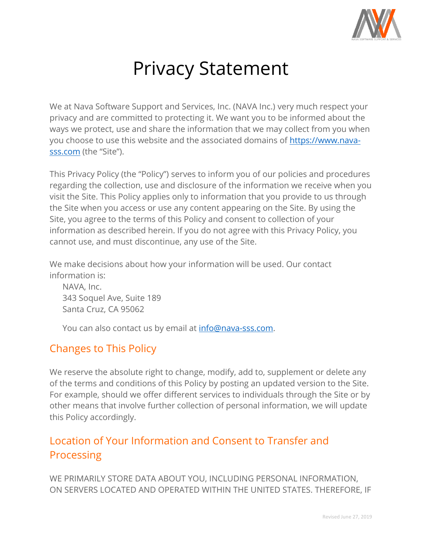

# Privacy Statement

We at Nava Software Support and Services, Inc. (NAVA Inc.) very much respect your privacy and are committed to protecting it. We want you to be informed about the ways we protect, use and share the information that we may collect from you when you choose to use this website and the associated domains of [https://www.nava](https://www.nava-sss.com/)[sss.com](https://www.nava-sss.com/) (the "Site").

This Privacy Policy (the "Policy") serves to inform you of our policies and procedures regarding the collection, use and disclosure of the information we receive when you visit the Site. This Policy applies only to information that you provide to us through the Site when you access or use any content appearing on the Site. By using the Site, you agree to the terms of this Policy and consent to collection of your information as described herein. If you do not agree with this Privacy Policy, you cannot use, and must discontinue, any use of the Site.

We make decisions about how your information will be used. Our contact information is:

NAVA, Inc. 343 Soquel Ave, Suite 189 Santa Cruz, CA 95062

You can also contact us by email at *info@nava-sss.com*.

## Changes to This Policy

We reserve the absolute right to change, modify, add to, supplement or delete any of the terms and conditions of this Policy by posting an updated version to the Site. For example, should we offer different services to individuals through the Site or by other means that involve further collection of personal information, we will update this Policy accordingly.

# Location of Your Information and Consent to Transfer and Processing

WE PRIMARILY STORE DATA ABOUT YOU, INCLUDING PERSONAL INFORMATION, ON SERVERS LOCATED AND OPERATED WITHIN THE UNITED STATES. THEREFORE, IF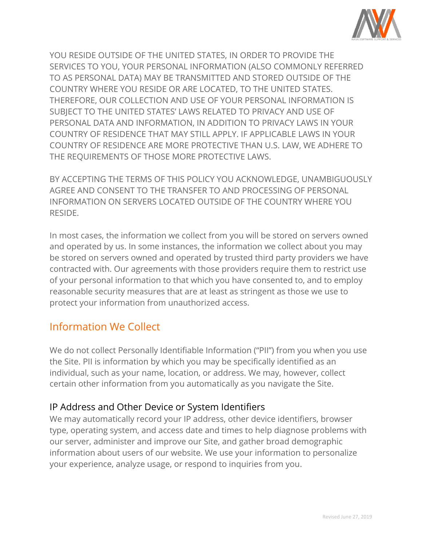

YOU RESIDE OUTSIDE OF THE UNITED STATES, IN ORDER TO PROVIDE THE SERVICES TO YOU, YOUR PERSONAL INFORMATION (ALSO COMMONLY REFERRED TO AS PERSONAL DATA) MAY BE TRANSMITTED AND STORED OUTSIDE OF THE COUNTRY WHERE YOU RESIDE OR ARE LOCATED, TO THE UNITED STATES. THEREFORE, OUR COLLECTION AND USE OF YOUR PERSONAL INFORMATION IS SUBJECT TO THE UNITED STATES' LAWS RELATED TO PRIVACY AND USE OF PERSONAL DATA AND INFORMATION, IN ADDITION TO PRIVACY LAWS IN YOUR COUNTRY OF RESIDENCE THAT MAY STILL APPLY. IF APPLICABLE LAWS IN YOUR COUNTRY OF RESIDENCE ARE MORE PROTECTIVE THAN U.S. LAW, WE ADHERE TO THE REQUIREMENTS OF THOSE MORE PROTECTIVE LAWS.

BY ACCEPTING THE TERMS OF THIS POLICY YOU ACKNOWLEDGE, UNAMBIGUOUSLY AGREE AND CONSENT TO THE TRANSFER TO AND PROCESSING OF PERSONAL INFORMATION ON SERVERS LOCATED OUTSIDE OF THE COUNTRY WHERE YOU RESIDE.

In most cases, the information we collect from you will be stored on servers owned and operated by us. In some instances, the information we collect about you may be stored on servers owned and operated by trusted third party providers we have contracted with. Our agreements with those providers require them to restrict use of your personal information to that which you have consented to, and to employ reasonable security measures that are at least as stringent as those we use to protect your information from unauthorized access.

## Information We Collect

We do not collect Personally Identifiable Information ("PII") from you when you use the Site. PII is information by which you may be specifically identified as an individual, such as your name, location, or address. We may, however, collect certain other information from you automatically as you navigate the Site.

#### IP Address and Other Device or System Identifiers

We may automatically record your IP address, other device identifiers, browser type, operating system, and access date and times to help diagnose problems with our server, administer and improve our Site, and gather broad demographic information about users of our website. We use your information to personalize your experience, analyze usage, or respond to inquiries from you.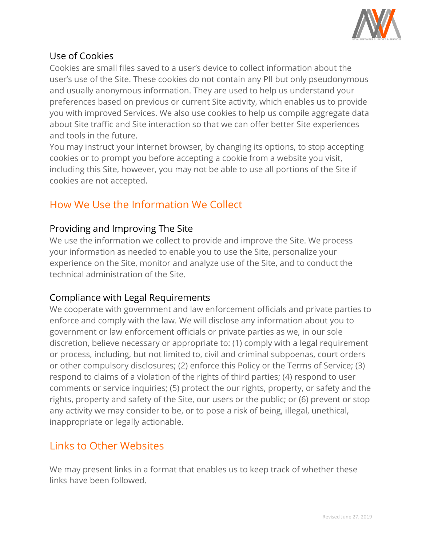

#### Use of Cookies

Cookies are small files saved to a user's device to collect information about the user's use of the Site. These cookies do not contain any PII but only pseudonymous and usually anonymous information. They are used to help us understand your preferences based on previous or current Site activity, which enables us to provide you with improved Services. We also use cookies to help us compile aggregate data about Site traffic and Site interaction so that we can offer better Site experiences and tools in the future.

You may instruct your internet browser, by changing its options, to stop accepting cookies or to prompt you before accepting a cookie from a website you visit, including this Site, however, you may not be able to use all portions of the Site if cookies are not accepted.

## How We Use the Information We Collect

#### Providing and Improving The Site

We use the information we collect to provide and improve the Site. We process your information as needed to enable you to use the Site, personalize your experience on the Site, monitor and analyze use of the Site, and to conduct the technical administration of the Site.

#### Compliance with Legal Requirements

We cooperate with government and law enforcement officials and private parties to enforce and comply with the law. We will disclose any information about you to government or law enforcement officials or private parties as we, in our sole discretion, believe necessary or appropriate to: (1) comply with a legal requirement or process, including, but not limited to, civil and criminal subpoenas, court orders or other compulsory disclosures; (2) enforce this Policy or the Terms of Service; (3) respond to claims of a violation of the rights of third parties; (4) respond to user comments or service inquiries; (5) protect the our rights, property, or safety and the rights, property and safety of the Site, our users or the public; or (6) prevent or stop any activity we may consider to be, or to pose a risk of being, illegal, unethical, inappropriate or legally actionable.

## Links to Other Websites

We may present links in a format that enables us to keep track of whether these links have been followed.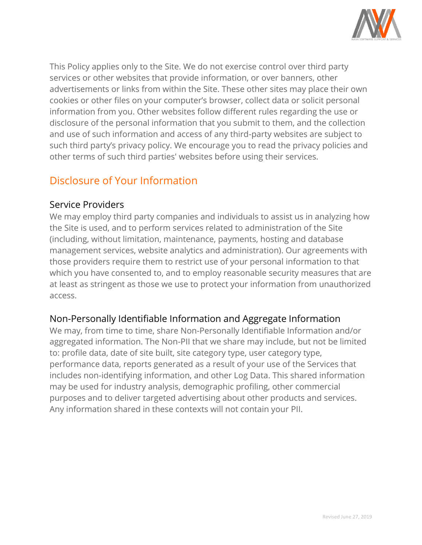

This Policy applies only to the Site. We do not exercise control over third party services or other websites that provide information, or over banners, other advertisements or links from within the Site. These other sites may place their own cookies or other files on your computer's browser, collect data or solicit personal information from you. Other websites follow different rules regarding the use or disclosure of the personal information that you submit to them, and the collection and use of such information and access of any third-party websites are subject to such third party's privacy policy. We encourage you to read the privacy policies and other terms of such third parties' websites before using their services.

## Disclosure of Your Information

#### Service Providers

We may employ third party companies and individuals to assist us in analyzing how the Site is used, and to perform services related to administration of the Site (including, without limitation, maintenance, payments, hosting and database management services, website analytics and administration). Our agreements with those providers require them to restrict use of your personal information to that which you have consented to, and to employ reasonable security measures that are at least as stringent as those we use to protect your information from unauthorized access.

#### Non-Personally Identifiable Information and Aggregate Information

We may, from time to time, share Non-Personally Identifiable Information and/or aggregated information. The Non-PII that we share may include, but not be limited to: profile data, date of site built, site category type, user category type, performance data, reports generated as a result of your use of the Services that includes non-identifying information, and other Log Data. This shared information may be used for industry analysis, demographic profiling, other commercial purposes and to deliver targeted advertising about other products and services. Any information shared in these contexts will not contain your PII.